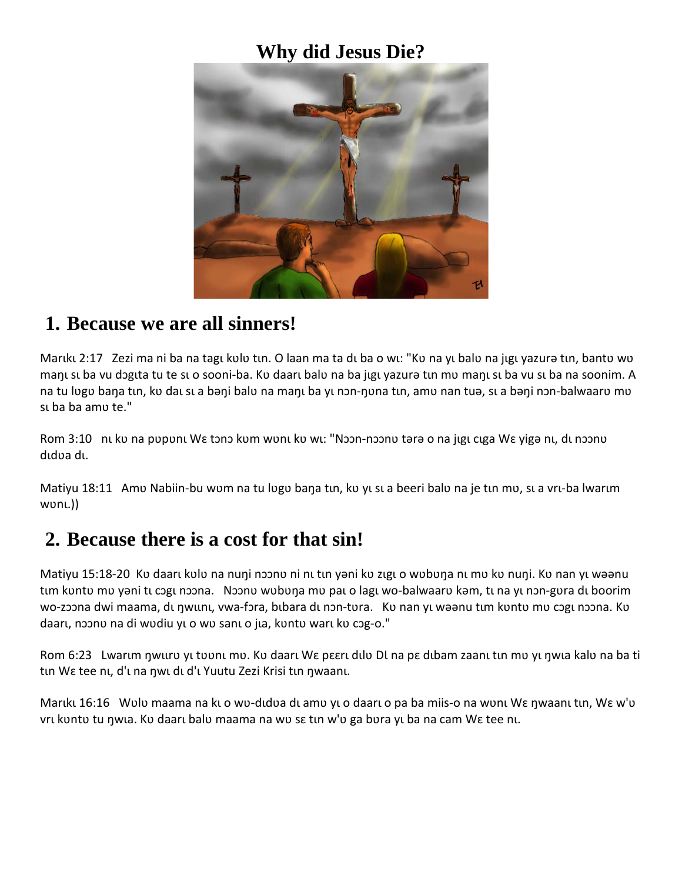#### **Why did Jesus Die?**



#### **1. Because we are all sinners!**

Marıkı 2:17 Zezi ma ni ba na tagı kulu tın. O laan ma ta dı ba o wı: "Ku na yı balu na jıgı yazurə tın, bantu wu manų su ba vu doguta tu te su o sooni-ba. Ko daaru balo na ba jųgų yazura tun mo manų su ba vu su ba na soonim. A na tu lugu baŋa tɪn, kʋ daɪ sɪ a bəŋi balʋ na maŋɪ ba yɪ nɔn-ŋʋna tɪn, amʋ nan tuə, sɪ a bəŋi nɔn-balwaarʊ mʊ su ba ba amu te."

Rom 3:10 nu ku na pupunu Wɛ tɔnɔ kum wunu ku wu: "Nɔɔn-nɔɔnu tərə o na jugu cuga Wɛ yigə nu, du nɔɔnu dıdua dı.

Matiyu 18:11 Amu Nabiin-bu wum na tu lugu bana tın, ku yı sı a beeri balu na je tın mu, sı a vrı-ba lwarım wonų.))

### **2. Because there is a cost for that sin!**

Matiyu 15:18-20 Kʋ daarı kʋlʋ na nuŋi nɔɔnʋ ni nı tın yəni kʋ zıgı o wʋbʋŋa nı mʋ kʋ nuŋi. Kʋ nan yı wəənu tım kʊntʊ mʊ yəni tı cɔgı nɔɔna. Nɔɔnʊ wʊbʊŋa mʊ pai o lagi wo-balwaarʊ kəm, ti na yi nɔn-gʊra di boorim wo-zɔɔna dwi maama, du ŋwunu, vwa-fɔra, bubara du nɔn-tʋra. Ku nan yu wəənu tum kʋntʋ mʋ cɔgu nɔɔna. Kʋ daarı, noonu na di wudiu yı o wu sanı o jia, kuntu warı ku cog-o."

Rom 6:23 Lwarum nwuro yu toonu mo. Ko daaru We peeru dulo Dl na pe dubam zaanu tun mo yu nwua kalo na ba ti tιn Wε tee nι, d'ι na ηwι dι d'ι Yuutu Zezi Krisi tιn ηwaanι.

Mariki 16:16 Wolo maama na ki o wo-didoa di amo yi o daari o pa ba miis-o na woni Wɛ ŋwaani tin, Wɛ w'ʋ vrī kuntu tu ņwīa. Ku daarī balu maama na wu sē tīn w'u ga būra yī ba na cam Wē tee nī.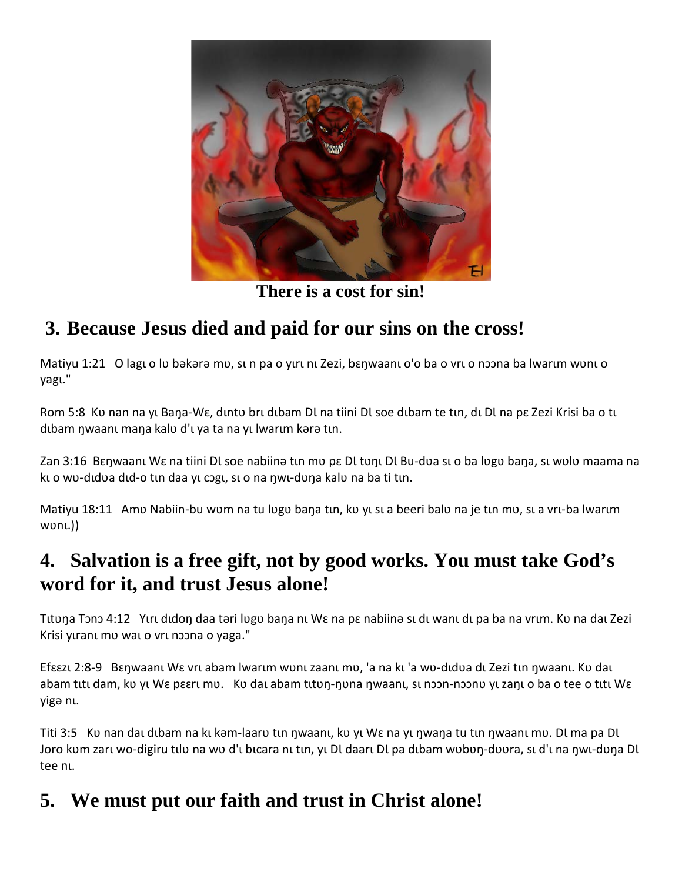

**There is a cost for sin!**

# **3. Because Jesus died and paid for our sins on the cross!**

Matiyu 1:21 O lagu o lu bəkərə mu, sun pa o yırı nı Zezi, bɛŋwaanı o'o ba o vru o nɔɔna ba lwarım wunu o yagɩ."

Rom 5:8 Ku nan na yu Bana-Wɛ, duntu bru dubam Dl na tiini Dl soe dubam te tun, du Dl na pɛ Zezi Krisi ba o tu dıbam nwaanı mana kalu d'ı ya ta na yı lwarım kərə tın.

Zan 3:16 Bɛnwaanı Wɛ na tiini Dl soe nabiinə tın mu pɛ Dl tunı Dl Bu-dua sı o ba lugu bana, sı wulu maama na kuo wo-didva did-o tin daa yu cogu, suo na nwu-duna kalu na ba ti tin.

Matiyu 18:11 Amu Nabiin-bu wum na tu lugu bana tın, ku yı sı a beeri balu na je tın mu, sı a vrı-ba lwarım wonų.))

## **4. Salvation is a free gift, not by good works. You must take God's word for it, and trust Jesus alone!**

Tituna Tono 4:12 Yiri didon daa təri lugu bana ni We na pe nabiinə si di wanı dı pa ba na vrim. Ku na dai Zezi Krisi yuranı mu wal o vrl noona o yaga."

Efεεzι 2:8-9 Bεηwaanι Wε vrι abam lwarım wʊnɪ zaanı mʊ, 'a na kı 'a wʊ-dɪdʊa dɪ Zezi tɪn ŋwaanı. Kʊ daɪ abam titi dam, kʋ yi Wɛ pɛɛri mʋ. Ku dai abam tituŋ-ŋʋna ŋwaani, si nɔɔn-nɔɔnʋ yi zaŋi o ba o tee o titi Wɛ yigə nɩ.

Titi 3:5 Kv nan dau dubam na ku kəm-laarv tun ŋwaanu, kv yu Wɛ na yu ŋwaŋa tu tun ŋwaanu mv. Dl ma pa Dl Joro kum zarī wo-digiru tīlu na wu d'ī bīcara nī tīn, yī Dī daarī Dī pa dībam wubuŋ-duura, sī d'ī na ŋwī-duŋa Dl tee nu.

## **5. We must put our faith and trust in Christ alone!**